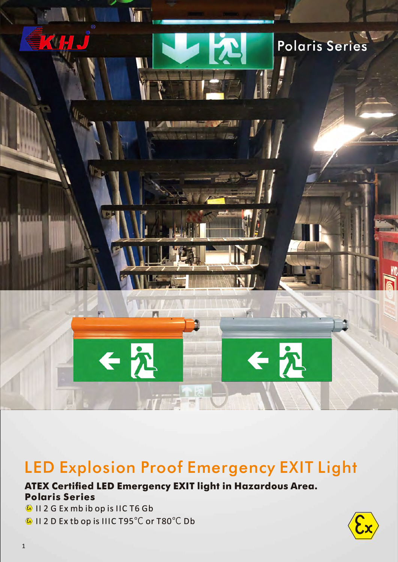

## **LED Explosion Proof Emergency EXIT Light**

#### **ATEX Certified LED Emergency EXIT light in Hazardous Area. Polaris Series**

© 11 2 G Ex mb ib op is I IC T6 Gb  $\overline{\textbf{e}}$  II 2 D Ex tb op is IIIC T95°C or T80°

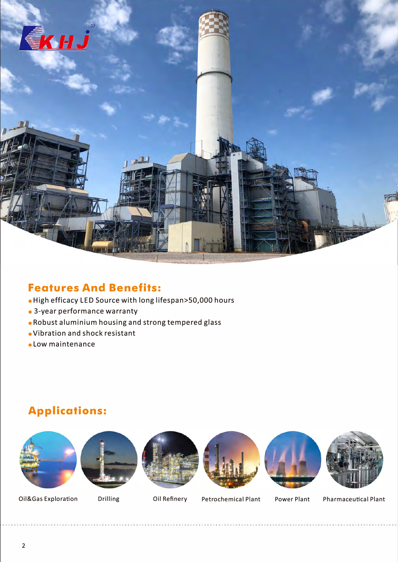

#### **Features And Benefits:**

- High efficacy LED Source with long lifespan>S0,000 hours
- 3-year performance warranty
- Robust aluminium housing and strong tempered glass
- **eVibration** and shock resistant
- Low maintenance

## **Applications:**













Oil&Gas Exploration Drilling Oil Refinery Petrochemical Plant Power Plant

Pharmaceutical Plant

2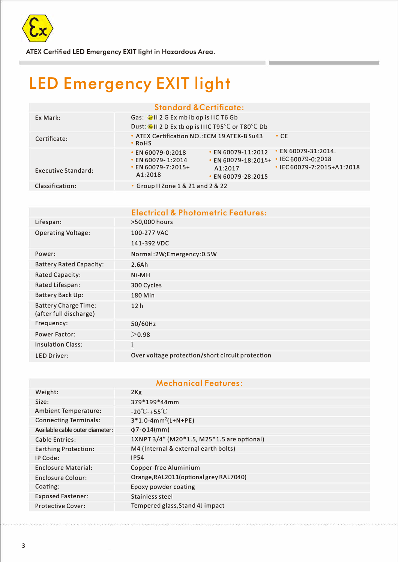

**ATEX Certified LED Emergency EXIT light in Hazardous Area.** 

# **LED Emergency EXIT light**

**Standard &Certificate:** 

| Ex Mark:                   | Gas: Call 2 G Ex mb ib op is IIC T6 Gb<br>Dust: CHI 2 D Ex th op is IIIC T95°C or T80°C Db                                                                                                                                                                                       |  |
|----------------------------|----------------------------------------------------------------------------------------------------------------------------------------------------------------------------------------------------------------------------------------------------------------------------------|--|
| Certificate:               | • ATEX Certification NO.: ECM 19 ATEX-B Su43<br>$\cdot$ CE<br>$\cdot$ RoHS                                                                                                                                                                                                       |  |
| <b>Executive Standard:</b> | • EN 60079-31:2014.<br>$\cdot$ EN 60079-11:2012<br>$\cdot$ EN 60079-0:2018<br>$\cdot$ IEC 60079-0:2018<br>$\cdot$ EN 60079-18:2015+<br>$\cdot$ EN 60079-1:2014<br>$\cdot$ EN 60079-7:2015+<br>$\cdot$ IEC 60079-7:2015+A1:2018<br>A1:2017<br>A1:2018<br>$\cdot$ EN 60079-28:2015 |  |
| Classification:            | • Group II Zone 1 & 21 and 2 & 22                                                                                                                                                                                                                                                |  |

|                                                       | <b>Electrical &amp; Photometric Features:</b>    |
|-------------------------------------------------------|--------------------------------------------------|
| Lifespan:                                             | >50,000 hours                                    |
| <b>Operating Voltage:</b>                             | 100-277 VAC                                      |
|                                                       | 141-392 VDC                                      |
| Power:                                                | Normal:2W;Emergency:0.5W                         |
| <b>Battery Rated Capacity:</b>                        | 2.6A <sub>h</sub>                                |
| <b>Rated Capacity:</b>                                | $Ni-MH$                                          |
| Rated Lifespan:                                       | 300 Cycles                                       |
| <b>Battery Back Up:</b>                               | <b>180 Min</b>                                   |
| <b>Battery Charge Time:</b><br>(after full discharge) | 12 <sub>h</sub>                                  |
| Frequency:                                            | 50/60Hz                                          |
| <b>Power Factor:</b>                                  | >0.98                                            |
| <b>Insulation Class:</b>                              |                                                  |
| <b>LED Driver:</b>                                    | Over voltage protection/short circuit protection |

#### Mechanical Features:

| Weight:                         | 2Kg                                        |
|---------------------------------|--------------------------------------------|
| Size:                           | 379*199*44mm                               |
| <b>Ambient Temperature:</b>     | $-20^{\circ}$ C-+55 $^{\circ}$ C           |
| <b>Connecting Terminals:</b>    | $3*1.0-4mm^2(L+N+PE)$                      |
| Available cable outer diameter: | $\phi$ 7- $\phi$ 14(mm)                    |
| <b>Cable Entries:</b>           | 1XNPT 3/4" (M20*1.5, M25*1.5 are optional) |
| <b>Earthing Protection:</b>     | M4 (Internal & external earth bolts)       |
| IP Code:                        | <b>IP54</b>                                |
| <b>Enclosure Material:</b>      | Copper-free Aluminium                      |
| <b>Enclosure Colour:</b>        | Orange, RAL2011 (optional grey RAL7040)    |
| Coating:                        | Epoxy powder coating                       |
| <b>Exposed Fastener:</b>        | Stainless steel                            |
| <b>Protective Cover:</b>        | Tempered glass, Stand 4J impact            |
|                                 |                                            |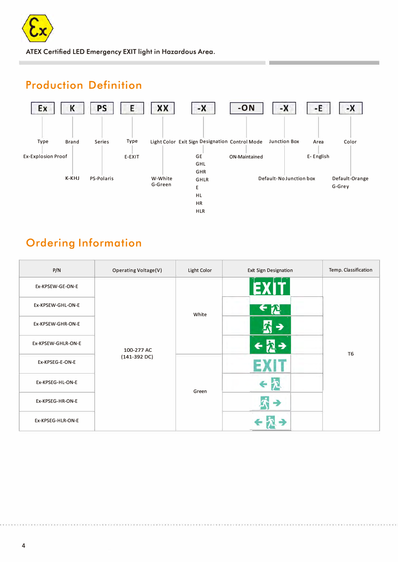

**ATEX Certified LED Emergency EXIT light in Hazardous Area.** 

## **Production Definition**



## **Ordering Information**

| P/N                | <b>Operating Voltage(V)</b> | Light Color | <b>Exit Sign Designation</b> | Temp. Classification |
|--------------------|-----------------------------|-------------|------------------------------|----------------------|
| Ex-KPSEW-GE-ON-E   |                             |             | EXIT                         |                      |
| Ex-KPSEW-GHL-ON-E  |                             | White       |                              |                      |
| Ex-KPSEW-GHR-ON-E  |                             |             | →                            | T <sub>6</sub>       |
| Ex-KPSEW-GHLR-ON-E | 100-277 AC                  |             |                              |                      |
| Ex-KPSEG-E-ON-E    | $(141-392)$ DC)             | Green       |                              |                      |
| Ex-KPSEG-HL-ON-E   |                             |             | e                            |                      |
| Ex-KPSEG-HR-ON-E   |                             |             |                              |                      |
| Ex-KPSEG-HLR-ON-E  |                             |             |                              |                      |